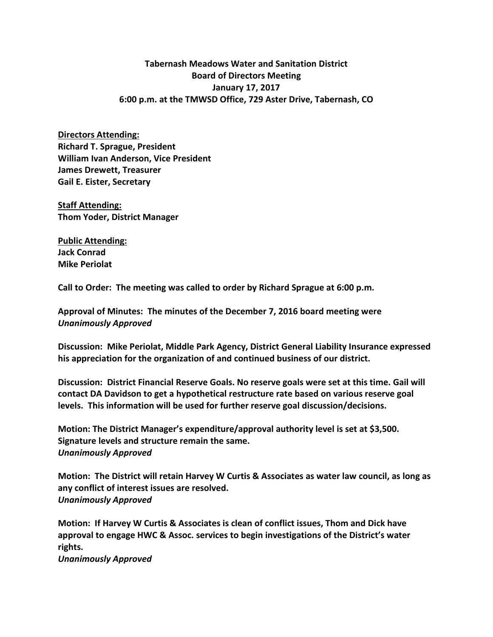## **Tabernash Meadows Water and Sanitation District Board of Directors Meeting January 17, 2017 6:00 p.m. at the TMWSD Office, 729 Aster Drive, Tabernash, CO**

**Directors Attending: Richard T. Sprague, President William Ivan Anderson, Vice President James Drewett, Treasurer Gail E. Eister, Secretary**

**Staff Attending: Thom Yoder, District Manager**

**Public Attending: Jack Conrad Mike Periolat**

**Call to Order: The meeting was called to order by Richard Sprague at 6:00 p.m.**

**Approval of Minutes: The minutes of the December 7, 2016 board meeting were** *Unanimously Approved*

**Discussion: Mike Periolat, Middle Park Agency, District General Liability Insurance expressed his appreciation for the organization of and continued business of our district.**

**Discussion: District Financial Reserve Goals. No reserve goals were set at this time. Gail will contact DA Davidson to get a hypothetical restructure rate based on various reserve goal levels. This information will be used for further reserve goal discussion/decisions.**

**Motion: The District Manager's expenditure/approval authority level is set at \$3,500. Signature levels and structure remain the same.** *Unanimously Approved*

**Motion: The District will retain Harvey W Curtis & Associates as water law council, as long as any conflict of interest issues are resolved.** *Unanimously Approved*

**Motion: If Harvey W Curtis & Associates is clean of conflict issues, Thom and Dick have approval to engage HWC & Assoc. services to begin investigations of the District's water rights.**

*Unanimously Approved*